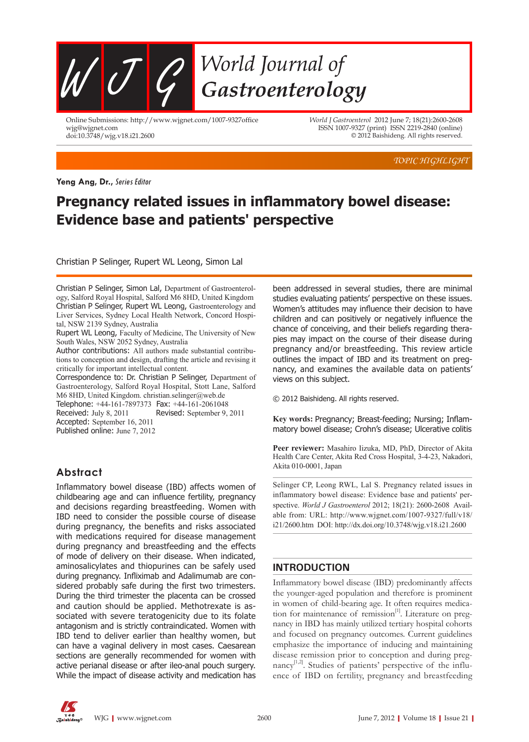

Online Submissions: http://www.wjgnet.com/1007-9327office wjg@wjgnet.com doi:10.3748/wjg.v18.i21.2600

*World J Gastroenterol* 2012 June 7; 18(21):2600-2608 ISSN 1007-9327 (print) ISSN 2219-2840 (online) © 2012 Baishideng. All rights reserved.

*TOPIC HIGHLIGHT*

**Yeng Ang, Dr.,** Series Editor

# **Pregnancy related issues in inflammatory bowel disease: Evidence base and patients' perspective**

Christian P Selinger, Rupert WL Leong, Simon Lal

Christian P Selinger, Simon Lal, Department of Gastroenterology, Salford Royal Hospital, Salford M6 8HD, United Kingdom Christian P Selinger, Rupert WL Leong, Gastroenterology and Liver Services, Sydney Local Health Network, Concord Hospital, NSW 2139 Sydney, Australia

Rupert WL Leong, Faculty of Medicine, The University of New South Wales, NSW 2052 Sydney, Australia

Author contributions: All authors made substantial contributions to conception and design, drafting the article and revising it critically for important intellectual content.

Correspondence to: Dr. Christian P Selinger, Department of Gastroenterology, Salford Royal Hospital, Stott Lane, Salford M6 8HD, United Kingdom. christian.selinger@web.de

Telephone: +44-161-7897373 Fax: +44-161-2061048 Received: July 8, 2011 Revised: September 9, 2011 Accepted: September 16, 2011 Published online: June 7, 2012

## **Abstract**

Inflammatory bowel disease (IBD) affects women of childbearing age and can influence fertility, pregnancy and decisions regarding breastfeeding. Women with IBD need to consider the possible course of disease during pregnancy, the benefits and risks associated with medications required for disease management during pregnancy and breastfeeding and the effects of mode of delivery on their disease. When indicated, aminosalicylates and thiopurines can be safely used during pregnancy. Infliximab and Adalimumab are considered probably safe during the first two trimesters. During the third trimester the placenta can be crossed and caution should be applied. Methotrexate is associated with severe teratogenicity due to its folate antagonism and is strictly contraindicated. Women with IBD tend to deliver earlier than healthy women, but can have a vaginal delivery in most cases. Caesarean sections are generally recommended for women with active perianal disease or after ileo-anal pouch surgery. While the impact of disease activity and medication has been addressed in several studies, there are minimal studies evaluating patients' perspective on these issues. Women's attitudes may influence their decision to have children and can positively or negatively influence the chance of conceiving, and their beliefs regarding therapies may impact on the course of their disease during pregnancy and/or breastfeeding. This review article outlines the impact of IBD and its treatment on pregnancy, and examines the available data on patients' views on this subject.

© 2012 Baishideng. All rights reserved.

**Key words:** Pregnancy; Breast-feeding; Nursing; Inflammatory bowel disease; Crohn's disease; Ulcerative colitis

**Peer reviewer:** Masahiro Iizuka, MD, PhD, Director of Akita Health Care Center, Akita Red Cross Hospital, 3-4-23, Nakadori, Akita 010-0001, Japan

Selinger CP, Leong RWL, Lal S. Pregnancy related issues in inflammatory bowel disease: Evidence base and patients' perspective. *World J Gastroenterol* 2012; 18(21): 2600-2608 Available from: URL: http://www.wjgnet.com/1007-9327/full/v18/ i21/2600.htm DOI: http://dx.doi.org/10.3748/wjg.v18.i21.2600

## **INTRODUCTION**

Inflammatory bowel disease (IBD) predominantly affects the younger-aged population and therefore is prominent in women of child-bearing age. It often requires medication for maintenance of remission<sup>[1]</sup>. Literature on pregnancy in IBD has mainly utilized tertiary hospital cohorts and focused on pregnancy outcomes. Current guidelines emphasize the importance of inducing and maintaining disease remission prior to conception and during pregnancy $^{[1,2]}$ . Studies of patients' perspective of the influence of IBD on fertility, pregnancy and breastfeeding

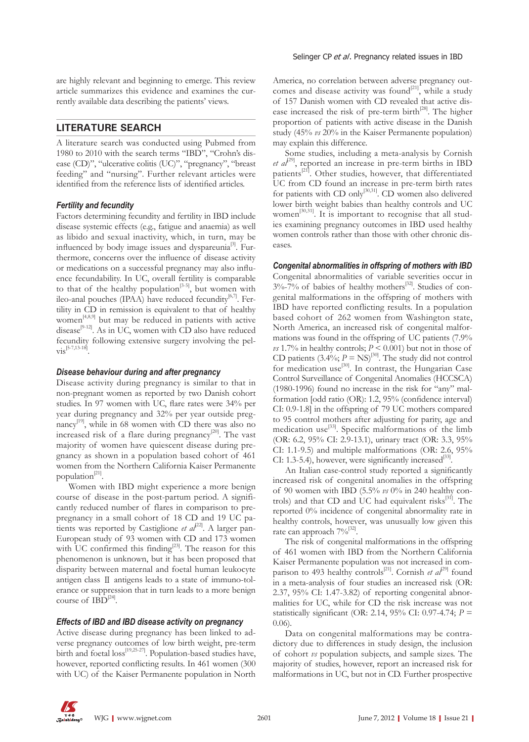are highly relevant and beginning to emerge. This review article summarizes this evidence and examines the currently available data describing the patients' views.

## **LITERATURE SEARCH**

A literature search was conducted using Pubmed from 1980 to 2010 with the search terms "IBD", "Crohn's disease (CD)", "ulcerative colitis (UC)", "pregnancy", "breast feeding" and "nursing". Further relevant articles were identified from the reference lists of identified articles.

## *Fertility and fecundity*

Factors determining fecundity and fertility in IBD include disease systemic effects (e.g., fatigue and anaemia) as well as libido and sexual inactivity, which, in turn, may be influenced by body image issues and dyspareunia<sup>[3]</sup>. Furthermore, concerns over the influence of disease activity or medications on a successful pregnancy may also influence fecundability. In UC, overall fertility is comparable to that of the healthy population<sup>[3-5]</sup>, but women with ileo-anal pouches (IPAA) have reduced fecundity $[6,7]$ . Fertility in CD in remission is equivalent to that of healthy women<sup>[4,8,9]</sup> but may be reduced in patients with active disease<sup>[9-12]</sup>. As in UC, women with CD also have reduced fecundity following extensive surgery involving the pel- $\text{vis}^{[5-7,13-18]}$ 

#### *Disease behaviour during and after pregnancy*

Disease activity during pregnancy is similar to that in non-pregnant women as reported by two Danish cohort studies. In 97 women with UC, flare rates were 34% per year during pregnancy and 32% per year outside pregnancy<sup>[19]</sup>, while in 68 women with CD there was also no increased risk of a flare during pregnancy $^{[20]}$ . The vast majority of women have quiescent disease during pregnancy as shown in a population based cohort of 461 women from the Northern California Kaiser Permanente population $^{[21]}$ .

Women with IBD might experience a more benign course of disease in the post-partum period. A significantly reduced number of flares in comparison to prepregnancy in a small cohort of 18 CD and 19 UC patients was reported by Castiglione *et al*<sup>22]</sup>. A larger pan-European study of 93 women with CD and 173 women with UC confirmed this finding<sup>[23]</sup>. The reason for this phenomenon is unknown, but it has been proposed that disparity between maternal and foetal human leukocyte antigen class Ⅱ antigens leads to a state of immuno-tolerance or suppression that in turn leads to a more benign course of  $IBD^{[24]}$ .

#### *Effects of IBD and IBD disease activity on pregnancy*

Active disease during pregnancy has been linked to adverse pregnancy outcomes of low birth weight, pre-term birth and foetal loss<sup>[19,25-27]</sup>. Population-based studies have, however, reported conflicting results. In 461 women (300 with UC) of the Kaiser Permanente population in North America, no correlation between adverse pregnancy outcomes and disease activity was found<sup>[21]</sup>, while a study of 157 Danish women with CD revealed that active disease increased the risk of pre-term birth<sup>[28]</sup>. The higher proportion of patients with active disease in the Danish study (45% *vs* 20% in the Kaiser Permanente population) may explain this difference.

Some studies, including a meta-analysis by Cornish *et al*<sup>[29]</sup>, reported an increase in pre-term births in IBD patients $^{[21]}$ . Other studies, however, that differentiated UC from CD found an increase in pre-term birth rates for patients with CD only<sup>[30,31]</sup>. CD women also delivered lower birth weight babies than healthy controls and UC women<sup>[30,31]</sup>. It is important to recognise that all studies examining pregnancy outcomes in IBD used healthy women controls rather than those with other chronic diseases.

## *Congenital abnormalities in offspring of mothers with IBD*

Congenital abnormalities of variable severities occur in  $3\%$ -7% of babies of healthy mothers<sup>[32]</sup>. Studies of congenital malformations in the offspring of mothers with IBD have reported conflicting results. In a population based cohort of 262 women from Washington state, North America, an increased risk of congenital malformations was found in the offspring of UC patients (7.9% *vs* 1.7% in healthy controls;  $P \le 0.001$  but not in those of CD patients  $(3.4\%; P = \text{NS})^{[30]}$ . The study did not control for medication use<sup>[30]</sup>. In contrast, the Hungarian Case Control Surveillance of Congenital Anomalies (HCCSCA) (1980-1996) found no increase in the risk for "any" malformation [odd ratio (OR): 1.2, 95% (confidence interval) CI: 0.9-1.8] in the offspring of 79 UC mothers compared to 95 control mothers after adjusting for parity, age and medication use<sup>[33]</sup>. Specific malformations of the limb (OR: 6.2, 95% CI: 2.9-13.1), urinary tract (OR: 3.3, 95% CI: 1.1-9.5) and multiple malformations (OR: 2.6, 95% CI: 1.3-5.4), however, were significantly increased<sup>[33]</sup>.

An Italian case-control study reported a significantly increased risk of congenital anomalies in the offspring of 90 women with IBD (5.5% *vs* 0% in 240 healthy controls) and that CD and UC had equivalent risks $[31]$ . The reported 0% incidence of congenital abnormality rate in healthy controls, however, was unusually low given this rate can approach  $7\%^{32}$ .

The risk of congenital malformations in the offspring of 461 women with IBD from the Northern California Kaiser Permanente population was not increased in comparison to 493 healthy controls<sup>[21]</sup>. Cornish *et al*<sup>[29]</sup> found in a meta-analysis of four studies an increased risk (OR: 2.37, 95% CI: 1.47-3.82) of reporting congenital abnormalities for UC, while for CD the risk increase was not statistically significant (OR: 2.14, 95% CI: 0.97-4.74; *P* = 0.06).

Data on congenital malformations may be contradictory due to differences in study design, the inclusion of cohort *vs* population subjects, and sample sizes. The majority of studies, however, report an increased risk for malformations in UC, but not in CD. Further prospective

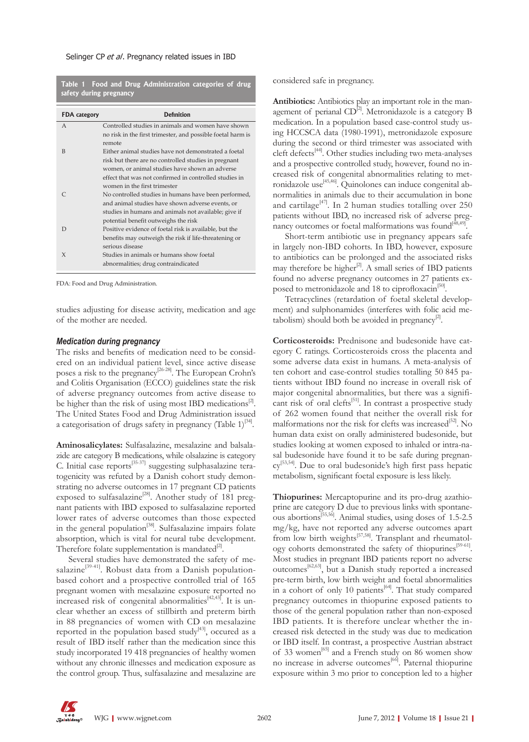**Table 1 Food and Drug Administration categories of drug safety during pregnancy**

| <b>FDA</b> category | <b>Definition</b>                                           |
|---------------------|-------------------------------------------------------------|
| $\overline{A}$      | Controlled studies in animals and women have shown          |
|                     | no risk in the first trimester, and possible foetal harm is |
|                     | remote                                                      |
| B                   | Either animal studies have not demonstrated a foetal        |
|                     | risk but there are no controlled studies in pregnant        |
|                     | women, or animal studies have shown an adverse              |
|                     | effect that was not confirmed in controlled studies in      |
|                     | women in the first trimester                                |
|                     | No controlled studies in humans have been performed,        |
|                     | and animal studies have shown adverse events, or            |
|                     | studies in humans and animals not available; give if        |
|                     | potential benefit outweighs the risk                        |
| D                   | Positive evidence of foetal risk is available, but the      |
|                     | benefits may outweigh the risk if life-threatening or       |
|                     | serious disease                                             |
| $\chi$              | Studies in animals or humans show foetal                    |
|                     | abnormalities; drug contraindicated                         |

FDA: Food and Drug Administration.

studies adjusting for disease activity, medication and age of the mother are needed.

#### *Medication during pregnancy*

The risks and benefits of medication need to be considered on an individual patient level, since active disease poses a risk to the pregnancy<sup>[26-28]</sup>. The European Crohn's and Colitis Organisation (ECCO) guidelines state the risk of adverse pregnancy outcomes from active disease to be higher than the risk of using most IBD medications $^{[2]}$ . The United States Food and Drug Administration issued a categorisation of drugs safety in pregnancy (Table  $1$ )<sup>[34]</sup>.

**Aminosalicylates:** Sulfasalazine, mesalazine and balsalazide are category B medications, while olsalazine is category C. Initial case reports<sup>[35-37]</sup> suggesting sulphasalazine teratogenicity was refuted by a Danish cohort study demonstrating no adverse outcomes in 17 pregnant CD patients exposed to sulfasalazine<sup>[28]</sup>. Another study of 181 pregnant patients with IBD exposed to sulfasalazine reported lower rates of adverse outcomes than those expected in the general population<sup>[38]</sup>. Sulfasalazine impairs folate absorption, which is vital for neural tube development. Therefore folate supplementation is mandated $^{[2]}$ .

Several studies have demonstrated the safety of mesalazine<sup>[39-41]</sup>. Robust data from a Danish populationbased cohort and a prospective controlled trial of 165 pregnant women with mesalazine exposure reported no increased risk of congenital abnormalities<sup>[42,43]</sup>. It is unclear whether an excess of stillbirth and preterm birth in 88 pregnancies of women with CD on mesalazine reported in the population based study<sup>[43]</sup>, occured as a result of IBD itself rather than the medication since this study incorporated 19 418 pregnancies of healthy women without any chronic illnesses and medication exposure as the control group. Thus, sulfasalazine and mesalazine are considered safe in pregnancy.

**Antibiotics:** Antibiotics play an important role in the management of perianal  $CD^{[2]}$ . Metronidazole is a category B medication. In a population based case-control study using HCCSCA data (1980-1991), metronidazole exposure during the second or third trimester was associated with cleft defects<sup>[44]</sup>. Other studies including two meta-analyses and a prospective controlled study, however, found no increased risk of congenital abnormalities relating to metronidazole use<sup>[45,46]</sup>. Quinolones can induce congenital abnormalities in animals due to their accumulation in bone and cartilage<sup>[47]</sup>. In 2 human studies totalling over 250 patients without IBD, no increased risk of adverse pregnancy outcomes or foetal malformations was found $[48,49]$ .

Short-term antibiotic use in pregnancy appears safe in largely non-IBD cohorts. In IBD, however, exposure to antibiotics can be prolonged and the associated risks may therefore be higher $^{[2]}$ . A small series of IBD patients found no adverse pregnancy outcomes in 27 patients exposed to metronidazole and 18 to ciprofloxacin<sup>[50]</sup>.

Tetracyclines (retardation of foetal skeletal development) and sulphonamides (interferes with folic acid metabolism) should both be avoided in pregnancy $^{[2]}$ .

**Corticosteroids:** Prednisone and budesonide have category C ratings. Corticosteroids cross the placenta and some adverse data exist in humans. A meta-analysis of ten cohort and case-control studies totalling 50 845 patients without IBD found no increase in overall risk of major congenital abnormalities, but there was a significant risk of oral clefts<sup>[51]</sup>. In contrast a prospective study of 262 women found that neither the overall risk for malformations nor the risk for clefts was increased<sup>[52]</sup>. No human data exist on orally administered budesonide, but studies looking at women exposed to inhaled or intra-nasal budesonide have found it to be safe during pregnancy[53,54]. Due to oral budesonide's high first pass hepatic metabolism, significant foetal exposure is less likely.

**Thiopurines:** Mercaptopurine and its pro-drug azathioprine are category D due to previous links with spontaneous abortions[55,56]. Animal studies, using doses of 1.5-2.5 mg/kg, have not reported any adverse outcomes apart from low birth weights<sup>[57,58]</sup>. Transplant and rheumatology cohorts demonstrated the safety of thiopurines<sup>[59-61]</sup>. Most studies in pregnant IBD patients report no adverse  $\frac{1}{\text{outcomes}}$ <sup>[62,63]</sup>, but a Danish study reported a increased pre-term birth, low birth weight and foetal abnormalities in a cohort of only 10 patients<sup>[64]</sup>. That study compared pregnancy outcomes in thiopurine exposed patients to those of the general population rather than non-exposed IBD patients. It is therefore unclear whether the increased risk detected in the study was due to medication or IBD itself. In contrast, a prospective Austrian abstract of 33 women<sup>[65]</sup> and a French study on 86 women show no increase in adverse outcomes<sup>[66]</sup>. Paternal thiopurine exposure within 3 mo prior to conception led to a higher

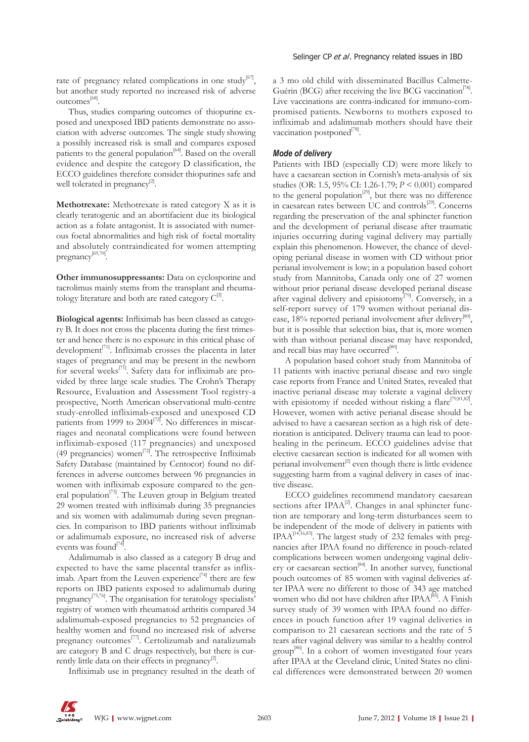rate of pregnancy related complications in one study<sup>[67]</sup>, but another study reported no increased risk of adverse outcomes<sup>[68]</sup>.

Thus, studies comparing outcomes of thiopurine exposed and unexposed IBD patients demonstrate no association with adverse outcomes. The single study showing a possibly increased risk is small and compares exposed patients to the general population<sup>[64]</sup>. Based on the overall evidence and despite the category D classification, the ECCO guidelines therefore consider thiopurines safe and well tolerated in pregnancy<sup>[2]</sup>.

**Methotrexate:** Methotrexate is rated category X as it is clearly teratogenic and an abortifacient due its biological action as a folate antagonist. It is associated with numerous foetal abnormalities and high risk of foetal mortality and absolutely contraindicated for women attempting pregnancy<sup>[69,70]</sup>.

**Other immunosuppressants:** Data on cyclosporine and tacrolimus mainly stems from the transplant and rheumatology literature and both are rated category  $C^{2}$ .

**Biological agents:** Infliximab has been classed as category B. It does not cross the placenta during the first trimester and hence there is no exposure in this critical phase of development<sup>[71]</sup>. Infliximab crosses the placenta in later stages of pregnancy and may be present in the newborn for several weeks<sup>[71]</sup>. Safety data for infliximab are provided by three large scale studies. The Crohn's Therapy Resource, Evaluation and Assessment Tool registry-a prospective, North American observational multi-centre study-enrolled infliximab-exposed and unexposed CD patients from 1999 to 2004<sup>[72]</sup>. No differences in miscarriages and neonatal complications were found between infliximab-exposed (117 pregnancies) and unexposed (49 pregnancies) women<sup>[72]</sup>. The retrospective Infliximab Safety Database (maintained by Centocor) found no differences in adverse outcomes between 96 pregnancies in women with infliximab exposure compared to the general population<sup>[73]</sup>. The Leuven group in Belgium treated 29 women treated with infliximab during 35 pregnancies and six women with adalimumab during seven pregnancies. In comparison to IBD patients without infliximab or adalimumab exposure, no increased risk of adverse events was found<sup>[74]</sup>.

Adalimumab is also classed as a category B drug and expected to have the same placental transfer as infliximab. Apart from the Leuven experience<sup>[74]</sup> there are few reports on IBD patients exposed to adalimumab during pregnancy[75,76]. The organisation for teratology specialists' registry of women with rheumatoid arthritis compared 34 adalimumab-exposed pregnancies to 52 pregnancies of healthy women and found no increased risk of adverse pregnancy outcomes<sup>[77]</sup>. Certolizumab and natalizumab are category B and C drugs respectively, but there is currently little data on their effects in pregnancy $^{[2]}$ .

Infliximab use in pregnancy resulted in the death of

a 3 mo old child with disseminated Bacillus Calmette-Guérin (BCG) after receiving the live BCG vaccination<sup>[78]</sup>. Live vaccinations are contra-indicated for immuno-compromised patients. Newborns to mothers exposed to infliximab and adalimumab mothers should have their vaccination postponed<sup>[78]</sup>.

#### *Mode of delivery*

Patients with IBD (especially CD) were more likely to have a caesarean section in Cornish's meta-analysis of six studies (OR: 1.5, 95% CI: 1.26-1.79; *P* < 0.001) compared to the general population<sup>[29]</sup>, but there was no difference in caesarean rates between UC and controls<sup>[29]</sup>. Concerns regarding the preservation of the anal sphincter function and the development of perianal disease after traumatic injuries occurring during vaginal delivery may partially explain this phenomenon. However, the chance of developing perianal disease in women with CD without prior perianal involvement is low; in a population based cohort study from Mannitoba, Canada only one of 27 women without prior perianal disease developed perianal disease after vaginal delivery and episiotomy<sup>[79]</sup>. Conversely, in a self-report survey of 179 women without perianal disease,  $18\%$  reported perianal involvement after delivery<sup>[80]</sup>, but it is possible that selection bias, that is, more women with than without perianal disease may have responded, and recall bias may have occurred<sup>[80]</sup>.

A population based cohort study from Mannitoba of 11 patients with inactive perianal disease and two single case reports from France and United States, revealed that inactive perianal disease may tolerate a vaginal delivery with episiotomy if needed without risking a flare<sup>[79,81,82]</sup>. However, women with active perianal disease should be advised to have a caesarean section as a high risk of deterioration is anticipated. Delivery trauma can lead to poorhealing in the perineum. ECCO guidelines advise that elective caesarean section is indicated for all women with perianal involvement $^{[2]}$  even though there is little evidence suggesting harm from a vaginal delivery in cases of inactive disease.

ECCO guidelines recommend mandatory caesarean sections after  $IPAA^{[2]}$ . Changes in anal sphincter function are temporary and long-term disturbances seem to be independent of the mode of delivery in patients with IPAA<sup>[14,16,83]</sup>. The largest study of 232 females with pregnancies after IPAA found no difference in pouch-related complications between women undergoing vaginal delivery or caesarean section<sup>[84]</sup>. In another survey, functional pouch outcomes of 85 women with vaginal deliveries after IPAA were no different to those of 343 age matched women who did not have children after IPAA<sup>[85]</sup>. A Finish survey study of 39 women with IPAA found no differences in pouch function after 19 vaginal deliveries in comparison to 21 caesarean sections and the rate of 5 tears after vaginal delivery was similar to a healthy control group<sup>[86]</sup>. In a cohort of women investigated four years after IPAA at the Cleveland clinic, United States no clinical differences were demonstrated between 20 women

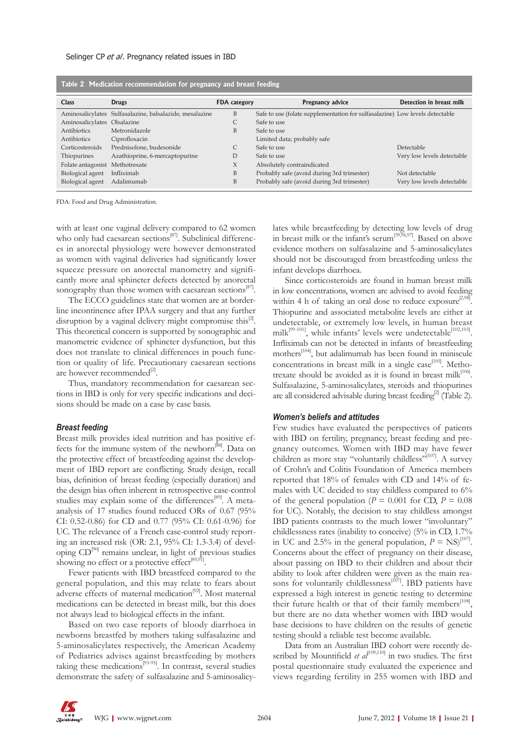| Table 2 Predication recommendation for pregnancy and breast reeding |                                                         |                     |                                                                              |                            |  |  |
|---------------------------------------------------------------------|---------------------------------------------------------|---------------------|------------------------------------------------------------------------------|----------------------------|--|--|
| <b>Class</b>                                                        | <b>Drugs</b>                                            | <b>FDA</b> category | <b>Pregnancy advice</b>                                                      | Detection in breast milk   |  |  |
|                                                                     | Aminosalicylates Sulfasalazine, balsalazide, mesalazine | B                   | Safe to use (folate supplementation for sulfasalazine) Low levels detectable |                            |  |  |
| Aminosalicylates Olsalazine                                         |                                                         |                     | Safe to use                                                                  |                            |  |  |
| Antibiotics                                                         | Metronidazole                                           | B                   | Safe to use                                                                  |                            |  |  |
| Antibiotics                                                         | Ciprofloxacin                                           |                     | Limited data; probably safe                                                  |                            |  |  |
| Corticosteroids                                                     | Prednisolone, budesonide                                |                     | Safe to use                                                                  | Detectable                 |  |  |
| Thiopurines                                                         | Azathioprine, 6-mercaptopurine                          | D                   | Safe to use                                                                  | Very low levels detectable |  |  |
| Folate antagonist Methotrexate                                      |                                                         | X                   | Absolutely contraindicated                                                   |                            |  |  |
| Biological agent                                                    | Infliximab                                              | B                   | Probably safe (avoid during 3rd trimester)                                   | Not detectable             |  |  |
| Biological agent                                                    | Adalimumab                                              | B                   | Probably safe (avoid during 3rd trimester)                                   | Very low levels detectable |  |  |

**Table 2 Medication recommendation for pregnancy and breast feeding**

FDA: Food and Drug Administration.

with at least one vaginal delivery compared to 62 women who only had caesarean sections<sup>[87]</sup>. Subclinical differences in anorectal physiology were however demonstrated as women with vaginal deliveries had significantly lower squeeze pressure on anorectal manometry and significantly more anal sphincter defects detected by anorectal sonography than those women with caesarean sections<sup>[87]</sup>.

The ECCO guidelines state that women are at borderline incontinence after IPAA surgery and that any further disruption by a vaginal delivery might compromise this $^{2}$ . This theoretical concern is supported by sonographic and manometric evidence of sphincter dysfunction, but this does not translate to clinical differences in pouch function or quality of life. Precautionary caesarean sections are however recommended $^{[2]}$ .

Thus, mandatory recommendation for caesarean sections in IBD is only for very specific indications and decisions should be made on a case by case basis.

#### *Breast feeding*

Breast milk provides ideal nutrition and has positive effects for the immune system of the newborn<sup>[88]</sup>. Data on the protective effect of breastfeeding against the development of IBD report are conflicting. Study design, recall bias, definition of breast feeding (especially duration) and the design bias often inherent in retrospective case-control studies may explain some of the differences<sup>[89]</sup>. A metaanalysis of 17 studies found reduced ORs of 0.67 (95% CI: 0.52-0.86) for CD and 0.77 (95% CI: 0.61-0.96) for UC. The relevance of a French case-control study reporting an increased risk (OR: 2.1, 95% CI: 1.3-3.4) of developing CD[90] remains unclear, in light of previous studies showing no effect or a protective effect $[89,91]$ .

Fewer patients with IBD breastfeed compared to the general population, and this may relate to fears about adverse effects of maternal medication<sup>[92]</sup>. Most maternal medications can be detected in breast milk, but this does not always lead to biological effects in the infant.

Based on two case reports of bloody diarrhoea in newborns breastfed by mothers taking sulfasalazine and 5-aminosalicylates respectively, the American Academy of Pediatrics advises against breastfeeding by mothers taking these medications $[93-95]$ . In contrast, several studies demonstrate the safety of sulfasalazine and 5-aminosalicylates while breastfeeding by detecting low levels of drug in breast milk or the infant's serum<sup>[39,96,97]</sup>. Based on above evidence mothers on sulfasalazine and 5-aminosalicylates should not be discouraged from breastfeeding unless the infant develops diarrhoea.

Since corticosteroids are found in human breast milk in low concentrations, women are advised to avoid feeding within 4 h of taking an oral dose to reduce exposure  $[2,98]$ . Thiopurine and associated metabolite levels are either at undetectable, or extremely low levels, in human breast milk<sup>[99-101]</sup>, while infants' levels were undetectable<sup>[102,103]</sup>. Infliximab can not be detected in infants of breastfeeding mothers<sup>[104]</sup>, but adalimumab has been found in miniscule concentrations in breast milk in a single case $[105]$ . Methotrexate should be avoided as it is found in breast milk<sup>[106]</sup>. Sulfasalazine, 5-aminosalicylates, steroids and thiopurines are all considered advisable during breast feeding<sup>[2]</sup> (Table 2).

#### *Women's beliefs and attitudes*

Few studies have evaluated the perspectives of patients with IBD on fertility, pregnancy, breast feeding and pregnancy outcomes. Women with IBD may have fewer children as more stay "voluntarily childless"<sup>[107]</sup>. A survey of Crohn's and Colitis Foundation of America members reported that 18% of females with CD and 14% of females with UC decided to stay childless compared to 6% of the general population ( $P = 0.001$  for CD,  $P = 0.08$ for UC). Notably, the decision to stay childless amongst IBD patients contrasts to the much lower "involuntary" childlessness rates (inability to conceive) (5% in CD, 1.7% in UC and 2.5% in the general population,  $P = NS$ <sup>[107]</sup>. Concerns about the effect of pregnancy on their disease, about passing on IBD to their children and about their ability to look after children were given as the main reasons for voluntarily childlessness<sup>[107]</sup>. IBD patients have expressed a high interest in genetic testing to determine their future health or that of their family members<sup>[108]</sup>, but there are no data whether women with IBD would base decisions to have children on the results of genetic testing should a reliable test become available.

Data from an Australian IBD cohort were recently described by Mountifield *et al*<sup>[109,110]</sup> in two studies. The first postal questionnaire study evaluated the experience and views regarding fertility in 255 women with IBD and

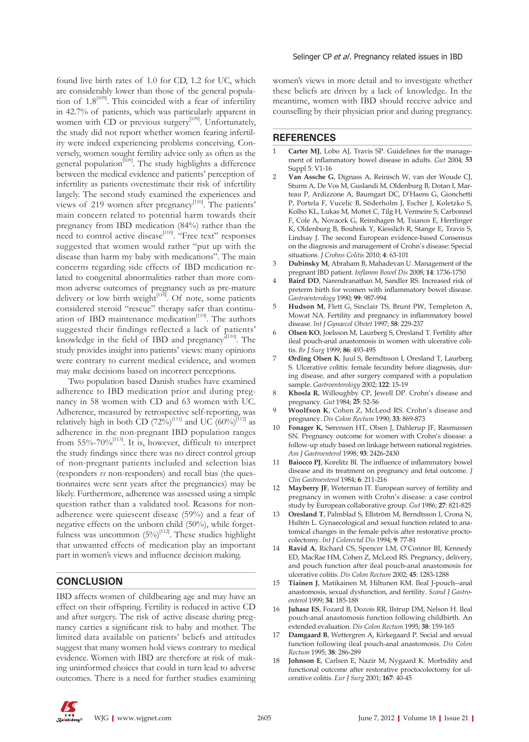found live birth rates of 1.0 for CD, 1.2 for UC, which are considerably lower than those of the general population of  $1.8^{[109]}$ . This coincided with a fear of infertility in 42.7% of patients, which was particularly apparent in women with CD or previous surgery<sup>[109]</sup>. Unfortunately, the study did not report whether women fearing infertility were indeed experiencing problems conceiving. Conversely, women sought fertility advice only as often as the general population<sup>[109]</sup>. The study highlights a difference between the medical evidence and patients' perception of infertility as patients overestimate their risk of infertility largely. The second study examined the experiences and views of 219 women after pregnancy<sup>[110]</sup>. The patients' main concern related to potential harm towards their pregnancy from IBD medication (84%) rather than the need to control active disease<sup>[110]</sup>. "Free text" responses suggested that women would rather "put up with the disease than harm my baby with medications". The main concerns regarding side effects of IBD medication related to congenital abnormalities rather than more common adverse outcomes of pregnancy such as pre-mature delivery or low birth weight $[110]$ . Of note, some patients considered steroid "rescue" therapy safer than continuation of IBD maintenance medication $[110]$ . The authors suggested their findings reflected a lack of patients' knowledge in the field of IBD and pregnancy<sup>[110]</sup>. The study provides insight into patients' views: many opinions were contrary to current medical evidence, and women may make decisions based on incorrect perceptions.

Two population based Danish studies have examined adherence to IBD medication prior and during pregnancy in 58 women with CD and 63 women with UC. Adherence, measured by retrospective self-reporting, was relatively high in both CD  $(72\%)^{[111]}$  and UC  $(60\%)^{[112]}$  as adherence in the non-pregnant IBD population ranges from  $55\% - 70\%$ <sup>[113]</sup>. It is, however, difficult to interpret the study findings since there was no direct control group of non-pregnant patients included and selection bias (responders *vs* non-responders) and recall bias (the questionnaires were sent years after the pregnancies) may be likely. Furthermore, adherence was assessed using a simple question rather than a validated tool. Reasons for nonadherence were quiescent disease (59%) and a fear of negative effects on the unborn child (50%), while forgetfulness was uncommon  $(5%)^{[112]}$ . These studies highlight that unwanted effects of medication play an important part in women's views and influence decision making.

## **CONCLUSION**

IBD affects women of childbearing age and may have an effect on their offspring. Fertility is reduced in active CD and after surgery. The risk of active disease during pregnancy carries a significant risk to baby and mother. The limited data available on patients' beliefs and attitudes suggest that many women hold views contrary to medical evidence. Women with IBD are therefore at risk of making uninformed choices that could in turn lead to adverse outcomes. There is a need for further studies examining women's views in more detail and to investigate whether these beliefs are driven by a lack of knowledge. In the meantime, women with IBD should receive advice and counselling by their physician prior and during pregnancy.

#### **REFERENCES**

- 1 **Carter MJ**, Lobo AJ, Travis SP. Guidelines for the management of inflammatory bowel disease in adults. *Gut* 2004; **53**  Suppl 5: V1-16
- 2 **Van Assche G**, Dignass A, Reinisch W, van der Woude CJ, Sturm A, De Vos M, Guslandi M, Oldenburg B, Dotan I, Marteau P, Ardizzone A, Baumgart DC, D'Haens G, Gionchetti P, Portela F, Vucelic B, Söderholm J, Escher J, Koletzko S, Kolho KL, Lukas M, Mottet C, Tilg H, Vermeire S, Carbonnel F, Cole A, Novacek G, Reinshagen M, Tsianos E, Herrlinger K, Oldenburg B, Bouhnik Y, Kiesslich R, Stange E, Travis S, Lindsay J. The second European evidence-based Consensus on the diagnosis and management of Crohn's disease: Special situations. *J Crohns Colitis* 2010; **4**: 63-101
- 3 **Dubinsky M**, Abraham B, Mahadevan U. Management of the pregnant IBD patient. *Inflamm Bowel Dis* 2008; **14**: 1736-1750
- 4 **Baird DD**, Narendranathan M, Sandler RS. Increased risk of preterm birth for women with inflammatory bowel disease. *Gastroenterology* 1990; **99**: 987-994
- 5 **Hudson M**, Flett G, Sinclair TS, Brunt PW, Templeton A, Mowat NA. Fertility and pregnancy in inflammatory bowel disease. *Int J Gynaecol Obstet* 1997; **58**: 229-237
- 6 **Olsen KO**, Joelsson M, Laurberg S, Oresland T. Fertility after ileal pouch-anal anastomosis in women with ulcerative colitis. *Br J Surg* 1999; **86**: 493-495
- 7 **Ørding Olsen K**, Juul S, Berndtsson I, Oresland T, Laurberg S. Ulcerative colitis: female fecundity before diagnosis, during disease, and after surgery compared with a population sample. *Gastroenterology* 2002; **122**: 15-19
- 8 **Khosla R**, Willoughby CP, Jewell DP. Crohn's disease and pregnancy. *Gut* 1984; **25**: 52-56
- 9 **Woolfson K**, Cohen Z, McLeod RS. Crohn's disease and pregnancy. *Dis Colon Rectum* 1990; **33**: 869-873
- 10 **Fonager K**, Sørensen HT, Olsen J, Dahlerup JF, Rasmussen SN. Pregnancy outcome for women with Crohn's disease: a follow-up study based on linkage between national registries. *Am J Gastroenterol* 1998; **93**: 2426-2430
- Baiocco PJ, Korelitz BI. The influence of inflammatory bowel disease and its treatment on pregnancy and fetal outcome. *J Clin Gastroenterol* 1984; **6**: 211-216
- 12 **Mayberry JF**, Weterman IT. European survey of fertility and pregnancy in women with Crohn's disease: a case control study by European collaborative group. *Gut* 1986; **27**: 821-825
- 13 **Oresland T**, Palmblad S, Ellström M, Berndtsson I, Crona N, Hultén L. Gynaecological and sexual function related to anatomical changes in the female pelvis after restorative proctocolectomy. *Int J Colorectal Dis* 1994; **9**: 77-81
- Ravid A, Richard CS, Spencer LM, O'Connor BI, Kennedy ED, MacRae HM, Cohen Z, McLeod RS. Pregnancy, delivery, and pouch function after ileal pouch-anal anastomosis for ulcerative colitis. *Dis Colon Rectum* 2002; **45**: 1283-1288
- 15 **Tiainen J**, Matikainen M, Hiltunen KM. Ileal J-pouch--anal anastomosis, sexual dysfunction, and fertility. *Scand J Gastroenterol* 1999; **34**: 185-188
- 16 **Juhasz ES**, Fozard B, Dozois RR, Ilstrup DM, Nelson H. Ileal pouch-anal anastomosis function following childbirth. An extended evaluation. *Dis Colon Rectum* 1995; **38**: 159-165
- 17 **Damgaard B**, Wettergren A, Kirkegaard P. Social and sexual function following ileal pouch-anal anastomosis. *Dis Colon Rectum* 1995; **38**: 286-289
- 18 **Johnson E**, Carlsen E, Nazir M, Nygaard K. Morbidity and functional outcome after restorative proctocolectomy for ulcerative colitis. *Eur J Surg* 2001; **167**: 40-45

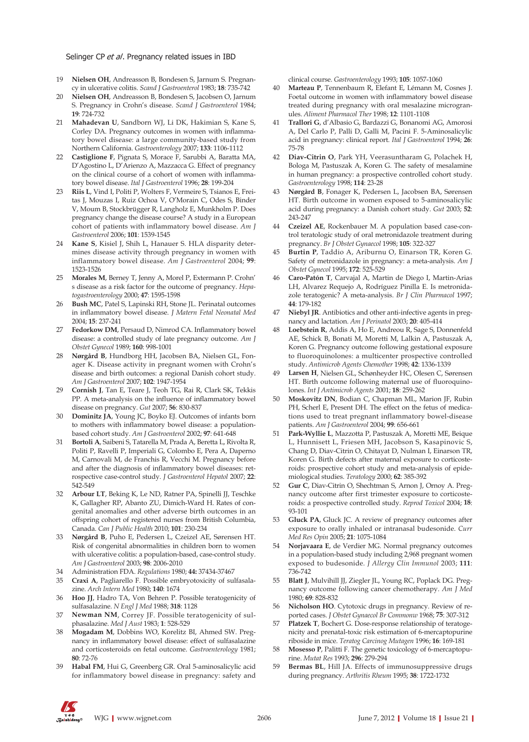- 19 **Nielsen OH**, Andreasson B, Bondesen S, Jarnum S. Pregnancy in ulcerative colitis. *Scand J Gastroenterol* 1983; **18**: 735-742
- 20 **Nielsen OH**, Andreasson B, Bondesen S, Jacobsen O, Jarnum S. Pregnancy in Crohn's disease. *Scand J Gastroenterol* 1984; **19**: 724-732
- 21 **Mahadevan U**, Sandborn WJ, Li DK, Hakimian S, Kane S, Corley DA. Pregnancy outcomes in women with inflammatory bowel disease: a large community-based study from Northern California. *Gastroenterology* 2007; **133**: 1106-1112
- 22 **Castiglione F**, Pignata S, Morace F, Sarubbi A, Baratta MA, D'Agostino L, D'Arienzo A, Mazzacca G. Effect of pregnancy on the clinical course of a cohort of women with inflammatory bowel disease. *Ital J Gastroenterol* 1996; **28**: 199-204
- 23 **Riis L**, Vind I, Politi P, Wolters F, Vermeire S, Tsianos E, Freitas J, Mouzas I, Ruiz Ochoa V, O'Morain C, Odes S, Binder V, Moum B, Stockbrügger R, Langholz E, Munkholm P. Does pregnancy change the disease course? A study in a European cohort of patients with inflammatory bowel disease. *Am J Gastroenterol* 2006; **101**: 1539-1545
- 24 **Kane S**, Kisiel J, Shih L, Hanauer S. HLA disparity determines disease activity through pregnancy in women with inflammatory bowel disease. *Am J Gastroenterol* 2004; **99**: 1523-1526
- 25 **Morales M**, Berney T, Jenny A, Morel P, Extermann P. Crohn' s disease as a risk factor for the outcome of pregnancy. *Hepatogastroenterology* 2000; **47**: 1595-1598
- 26 **Bush MC**, Patel S, Lapinski RH, Stone JL. Perinatal outcomes in inflammatory bowel disease. *J Matern Fetal Neonatal Med* 2004; **15**: 237-241
- 27 **Fedorkow DM**, Persaud D, Nimrod CA. Inflammatory bowel disease: a controlled study of late pregnancy outcome. *Am J Obstet Gynecol* 1989; **160**: 998-1001
- 28 **Nørgård B**, Hundborg HH, Jacobsen BA, Nielsen GL, Fonager K. Disease activity in pregnant women with Crohn's disease and birth outcomes: a regional Danish cohort study. *Am J Gastroenterol* 2007; **102**: 1947-1954
- 29 **Cornish J**, Tan E, Teare J, Teoh TG, Rai R, Clark SK, Tekkis PP. A meta-analysis on the influence of inflammatory bowel disease on pregnancy. *Gut* 2007; **56**: 830-837
- 30 **Dominitz JA**, Young JC, Boyko EJ. Outcomes of infants born to mothers with inflammatory bowel disease: a populationbased cohort study. *Am J Gastroenterol* 2002; **97**: 641-648
- 31 **Bortoli A**, Saibeni S, Tatarella M, Prada A, Beretta L, Rivolta R, Politi P, Ravelli P, Imperiali G, Colombo E, Pera A, Daperno M, Carnovali M, de Franchis R, Vecchi M. Pregnancy before and after the diagnosis of inflammatory bowel diseases: retrospective case-control study. *J Gastroenterol Hepatol* 2007; **22**: 542-549
- 32 **Arbour LT**, Beking K, Le ND, Ratner PA, Spinelli JJ, Teschke K, Gallagher RP, Abanto ZU, Dimich-Ward H. Rates of congenital anomalies and other adverse birth outcomes in an offspring cohort of registered nurses from British Columbia, Canada. *Can J Public Health* 2010; **101**: 230-234
- 33 **Nørgård B**, Puho E, Pedersen L, Czeizel AE, Sørensen HT. Risk of congenital abnormalities in children born to women with ulcerative colitis: a population-based, case-control study. *Am J Gastroenterol* 2003; **98**: 2006-2010
- 34 Administration FDA. *Regulations* 1980; **44:** 37434-37467
- 35 **Craxi A**, Pagliarello F. Possible embryotoxicity of sulfasalazine. *Arch Intern Med* 1980; **140**: 1674
- 36 **Hoo JJ**, Hadro TA, Von Behren P. Possible teratogenicity of sulfasalazine. *N Engl J Med* 1988; **318**: 1128
- 37 **Newman NM**, Correy JF. Possible teratogenicity of sulphasalazine. *Med J Aust* 1983; **1**: 528-529
- 38 **Mogadam M**, Dobbins WO, Korelitz BI, Ahmed SW. Pregnancy in inflammatory bowel disease: effect of sulfasalazine and corticosteroids on fetal outcome. *Gastroenterology* 1981; **80**: 72-76
- Habal FM, Hui G, Greenberg GR. Oral 5-aminosalicylic acid for inflammatory bowel disease in pregnancy: safety and

clinical course. *Gastroenterology* 1993; **105**: 1057-1060

- 40 **Marteau P**, Tennenbaum R, Elefant E, Lémann M, Cosnes J. Foetal outcome in women with inflammatory bowel disease treated during pregnancy with oral mesalazine microgranules. *Aliment Pharmacol Ther* 1998; **12**: 1101-1108
- 41 **Trallori G**, d'Albasio G, Bardazzi G, Bonanomi AG, Amorosi A, Del Carlo P, Palli D, Galli M, Pacini F. 5-Aminosalicylic acid in pregnancy: clinical report. *Ital J Gastroenterol* 1994; **26**: 75-78
- 42 **Diav-Citrin O**, Park YH, Veerasuntharam G, Polachek H, Bologa M, Pastuszak A, Koren G. The safety of mesalamine in human pregnancy: a prospective controlled cohort study. *Gastroenterology* 1998; **114**: 23-28
- 43 **Nørgård B**, Fonager K, Pedersen L, Jacobsen BA, Sørensen HT. Birth outcome in women exposed to 5-aminosalicylic acid during pregnancy: a Danish cohort study. *Gut* 2003; **52**: 243-247
- 44 **Czeizel AE**, Rockenbauer M. A population based case-control teratologic study of oral metronidazole treatment during pregnancy. *Br J Obstet Gynaecol* 1998; **105**: 322-327
- 45 **Burtin P**, Taddio A, Ariburnu O, Einarson TR, Koren G. Safety of metronidazole in pregnancy: a meta-analysis. *Am J Obstet Gynecol* 1995; **172**: 525-529
- 46 **Caro-Patón T**, Carvajal A, Martin de Diego I, Martin-Arias LH, Alvarez Requejo A, Rodríguez Pinilla E. Is metronidazole teratogenic? A meta-analysis. *Br J Clin Pharmacol* 1997; **44**: 179-182
- 47 **Niebyl JR**. Antibiotics and other anti-infective agents in pregnancy and lactation. *Am J Perinatol* 2003; **20**: 405-414
- 48 **Loebstein R**, Addis A, Ho E, Andreou R, Sage S, Donnenfeld AE, Schick B, Bonati M, Moretti M, Lalkin A, Pastuszak A, Koren G. Pregnancy outcome following gestational exposure to fluoroquinolones: a multicenter prospective controlled study. *Antimicrob Agents Chemother* 1998; **42**: 1336-1339
- Larsen H, Nielsen GL, Schønheyder HC, Olesen C, Sørensen HT. Birth outcome following maternal use of fluoroquinolones. *Int J Antimicrob Agents* 2001; **18**: 259-262
- 50 **Moskovitz DN**, Bodian C, Chapman ML, Marion JF, Rubin PH, Scherl E, Present DH. The effect on the fetus of medications used to treat pregnant inflammatory bowel-disease patients. *Am J Gastroenterol* 2004; **99**: 656-661
- 51 **Park-Wyllie L**, Mazzotta P, Pastuszak A, Moretti ME, Beique L, Hunnisett L, Friesen MH, Jacobson S, Kasapinovic S, Chang D, Diav-Citrin O, Chitayat D, Nulman I, Einarson TR, Koren G. Birth defects after maternal exposure to corticosteroids: prospective cohort study and meta-analysis of epidemiological studies. *Teratology* 2000; **62**: 385-392
- 52 **Gur C**, Diav-Citrin O, Shechtman S, Arnon J, Ornoy A. Pregnancy outcome after first trimester exposure to corticosteroids: a prospective controlled study. *Reprod Toxicol* 2004; **18**: 93-101
- 53 **Gluck PA**, Gluck JC. A review of pregnancy outcomes after exposure to orally inhaled or intranasal budesonide. *Curr Med Res Opin* 2005; **21**: 1075-1084
- 54 **Norjavaara E**, de Verdier MG. Normal pregnancy outcomes in a population-based study including 2,968 pregnant women exposed to budesonide. *J Allergy Clin Immunol* 2003; **111**: 736-742
- 55 **Blatt J**, Mulvihill JJ, Ziegler JL, Young RC, Poplack DG. Pregnancy outcome following cancer chemotherapy. *Am J Med* 1980; **69**: 828-832
- 56 **Nicholson HO**. Cytotoxic drugs in pregnancy. Review of reported cases. *J Obstet Gynaecol Br Commonw* 1968; **75**: 307-312
- 57 **Platzek T**, Bochert G. Dose-response relationship of teratogenicity and prenatal-toxic risk estimation of 6-mercaptopurine riboside in mice. *Teratog Carcinog Mutagen* 1996; **16**: 169-181
- 58 **Mosesso P**, Palitti F. The genetic toxicology of 6-mercaptopurine. *Mutat Res* 1993; **296**: 279-294
- Bermas BL, Hill JA. Effects of immunosuppressive drugs during pregnancy. *Arthritis Rheum* 1995; **38**: 1722-1732

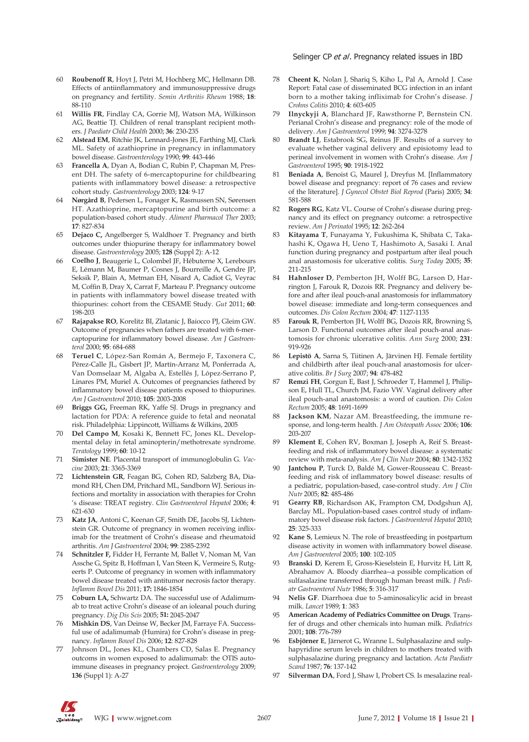- 60 **Roubenoff R**, Hoyt J, Petri M, Hochberg MC, Hellmann DB. Effects of antiinflammatory and immunosuppressive drugs on pregnancy and fertility. *Semin Arthritis Rheum* 1988; **18**: 88-110
- 61 **Willis FR**, Findlay CA, Gorrie MJ, Watson MA, Wilkinson AG, Beattie TJ. Children of renal transplant recipient mothers. *J Paediatr Child Health* 2000; **36**: 230-235
- 62 **Alstead EM**, Ritchie JK, Lennard-Jones JE, Farthing MJ, Clark ML. Safety of azathioprine in pregnancy in inflammatory bowel disease. *Gastroenterology* 1990; **99**: 443-446
- 63 **Francella A**, Dyan A, Bodian C, Rubin P, Chapman M, Present DH. The safety of 6-mercaptopurine for childbearing patients with inflammatory bowel disease: a retrospective cohort study. *Gastroenterology* 2003; **124**: 9-17
- 64 **Nørgård B**, Pedersen L, Fonager K, Rasmussen SN, Sørensen HT. Azathioprine, mercaptopurine and birth outcome: a population-based cohort study. *Aliment Pharmacol Ther* 2003; **17**: 827-834
- 65 **Dejaco C,** Angelberger S, Waldhoer T. Pregnancy and birth outcomes under thiopurine therapy for inflammatory bowel disease. *Gastroenterology* 2005; **128** (Suppl 2): A-12
- 66 **Coelho J**, Beaugerie L, Colombel JF, Hébuterne X, Lerebours E, Lémann M, Baumer P, Cosnes J, Bourreille A, Gendre JP, Seksik P, Blain A, Metman EH, Nisard A, Cadiot G, Veyrac M, Coffin B, Dray X, Carrat F, Marteau P. Pregnancy outcome in patients with inflammatory bowel disease treated with thiopurines: cohort from the CESAME Study. *Gut* 2011; **60**: 198-203
- 67 **Rajapakse RO**, Korelitz BI, Zlatanic J, Baiocco PJ, Gleim GW. Outcome of pregnancies when fathers are treated with 6-mercaptopurine for inflammatory bowel disease. *Am J Gastroenterol* 2000; **95**: 684-688
- 68 **Teruel C**, López-San Román A, Bermejo F, Taxonera C, Pérez-Calle JL, Gisbert JP, Martín-Arranz M, Ponferrada A, Van Domselaar M, Algaba A, Estellés J, López-Serrano P, Linares PM, Muriel A. Outcomes of pregnancies fathered by inflammatory bowel disease patients exposed to thiopurines. *Am J Gastroenterol* 2010; **105**: 2003-2008
- 69 **Briggs GG,** Freeman RK, Yaffe SJ. Drugs in pregnancy and lactation for PDA: A reference guide to fetal and neonatal risk. Philadelphia: Lippincott, Williams & Wilkins, 2005
- 70 **Del Campo M**, Kosaki K, Bennett FC, Jones KL. Developmental delay in fetal aminopterin/methotrexate syndrome. *Teratology* 1999; **60**: 10-12
- 71 **Simister NE**. Placental transport of immunoglobulin G. *Vaccine* 2003; **21**: 3365-3369
- 72 **Lichtenstein GR**, Feagan BG, Cohen RD, Salzberg BA, Diamond RH, Chen DM, Pritchard ML, Sandborn WJ. Serious infections and mortality in association with therapies for Crohn 's disease: TREAT registry. *Clin Gastroenterol Hepatol* 2006; **4**: 621-630
- 73 **Katz JA**, Antoni C, Keenan GF, Smith DE, Jacobs SJ, Lichtenstein GR. Outcome of pregnancy in women receiving infliximab for the treatment of Crohn's disease and rheumatoid arthritis. *Am J Gastroenterol* 2004; **99**: 2385-2392
- 74 **Schnitzler F,** Fidder H, Ferrante M, Ballet V, Noman M, Van Assche G, Spitz B, Hoffman I, Van Steen K, Vermeire S, Rutgeerts P. Outcome of pregnancy in women with inflammatory bowel disease treated with antitumor necrosis factor therapy. *Inflamm Bowel Dis* 2011; **17:** 1846-1854
- 75 **Coburn LA,** Schwartz DA. The successful use of Adalimumab to treat active Crohn's disease of an ioleanal pouch during pregnancy. *Dig Dis Scis* 2005; **51:** 2045-2047
- 76 **Mishkin DS**, Van Deinse W, Becker JM, Farraye FA. Successful use of adalimumab (Humira) for Crohn's disease in pregnancy. *Inflamm Bowel Dis* 2006; **12**: 827-828
- 77 Johnson DL, Jones KL, Chambers CD, Salas E. Pregnancy outcoms in women exposed to adalimumab: the OTIS autoimmune diseases in pregnancy project. *Gastroenterology* 2009; **136** (Suppl 1): A-27

- 78 **Cheent K**, Nolan J, Shariq S, Kiho L, Pal A, Arnold J. Case Report: Fatal case of disseminated BCG infection in an infant born to a mother taking infliximab for Crohn's disease. *J Crohns Colitis* 2010; **4**: 603-605
- 79 **Ilnyckyji A**, Blanchard JF, Rawsthorne P, Bernstein CN. Perianal Crohn's disease and pregnancy: role of the mode of delivery. *Am J Gastroenterol* 1999; **94**: 3274-3278
- 80 **Brandt LJ**, Estabrook SG, Reinus JF. Results of a survey to evaluate whether vaginal delivery and episiotomy lead to perineal involvement in women with Crohn's disease. *Am J Gastroenterol* 1995; **90**: 1918-1922
- 81 **Beniada A**, Benoist G, Maurel J, Dreyfus M. [Inflammatory bowel disease and pregnancy: report of 76 cases and review of the literature]. *J Gynecol Obstet Biol Reprod* (Paris) 2005; **34**: 581-588
- 82 **Rogers RG**, Katz VL. Course of Crohn's disease during pregnancy and its effect on pregnancy outcome: a retrospective review. *Am J Perinatol* 1995; **12**: 262-264
- 83 **Kitayama T**, Funayama Y, Fukushima K, Shibata C, Takahashi K, Ogawa H, Ueno T, Hashimoto A, Sasaki I. Anal function during pregnancy and postpartum after ileal pouch anal anastomosis for ulcerative colitis. *Surg Today* 2005; **35**: 211-215
- 84 **Hahnloser D**, Pemberton JH, Wolff BG, Larson D, Harrington J, Farouk R, Dozois RR. Pregnancy and delivery before and after ileal pouch-anal anastomosis for inflammatory bowel disease: immediate and long-term consequences and outcomes. *Dis Colon Rectum* 2004; **47**: 1127-1135
- Farouk R, Pemberton JH, Wolff BG, Dozois RR, Browning S, Larson D. Functional outcomes after ileal pouch-anal anastomosis for chronic ulcerative colitis. *Ann Surg* 2000; **231**: 919-926
- 86 **Lepistö A**, Sarna S, Tiitinen A, Järvinen HJ. Female fertility and childbirth after ileal pouch-anal anastomosis for ulcerative colitis. *Br J Surg* 2007; **94**: 478-482
- 87 **Remzi FH**, Gorgun E, Bast J, Schroeder T, Hammel J, Philipson E, Hull TL, Church JM, Fazio VW. Vaginal delivery after ileal pouch-anal anastomosis: a word of caution. *Dis Colon Rectum* 2005; **48**: 1691-1699
- 88 **Jackson KM**, Nazar AM. Breastfeeding, the immune response, and long-term health. *J Am Osteopath Assoc* 2006; **106**: 203-207
- 89 **Klement E**, Cohen RV, Boxman J, Joseph A, Reif S. Breastfeeding and risk of inflammatory bowel disease: a systematic review with meta-analysis. *Am J Clin Nutr* 2004; **80**: 1342-1352
- 90 **Jantchou P**, Turck D, Baldé M, Gower-Rousseau C. Breastfeeding and risk of inflammatory bowel disease: results of a pediatric, population-based, case-control study. *Am J Clin Nutr* 2005; **82**: 485-486
- 91 **Gearry RB**, Richardson AK, Frampton CM, Dodgshun AJ, Barclay ML. Population-based cases control study of inflammatory bowel disease risk factors. *J Gastroenterol Hepatol* 2010; **25**: 325-333
- 92 **Kane S**, Lemieux N. The role of breastfeeding in postpartum disease activity in women with inflammatory bowel disease. *Am J Gastroenterol* 2005; **100**: 102-105
- 93 **Branski D**, Kerem E, Gross-Kieselstein E, Hurvitz H, Litt R, Abrahamov A. Bloody diarrhea--a possible complication of sulfasalazine transferred through human breast milk. *J Pediatr Gastroenterol Nutr* 1986; **5**: 316-317
- Nelis GF. Diarrhoea due to 5-aminosalicylic acid in breast milk. *Lancet* 1989; **1**: 383
- 95 **American Academy of Pediatrics Committee on Drugs**. Transfer of drugs and other chemicals into human milk. *Pediatrics* 2001; **108**: 776-789
- 96 **Esbjörner E**, Järnerot G, Wranne L. Sulphasalazine and sulphapyridine serum levels in children to mothers treated with sulphasalazine during pregnancy and lactation. *Acta Paediatr Scand* 1987; **76**: 137-142
- Silverman DA, Ford J, Shaw I, Probert CS. Is mesalazine real-